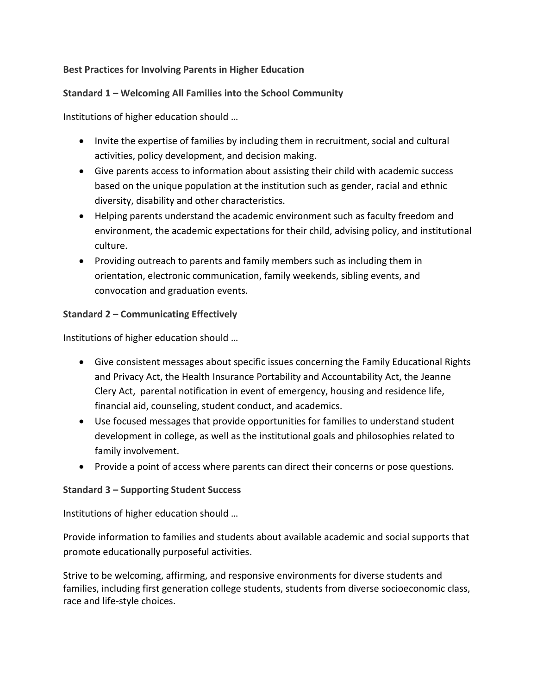### **Best Practices for Involving Parents in Higher Education**

## **Standard 1 – Welcoming All Families into the School Community**

Institutions of higher education should …

- Invite the expertise of families by including them in recruitment, social and cultural activities, policy development, and decision making.
- Give parents access to information about assisting their child with academic success based on the unique population at the institution such as gender, racial and ethnic diversity, disability and other characteristics.
- Helping parents understand the academic environment such as faculty freedom and environment, the academic expectations for their child, advising policy, and institutional culture.
- Providing outreach to parents and family members such as including them in orientation, electronic communication, family weekends, sibling events, and convocation and graduation events.

## **Standard 2 – Communicating Effectively**

Institutions of higher education should …

- Give consistent messages about specific issues concerning the Family Educational Rights and Privacy Act, the Health Insurance Portability and Accountability Act, the Jeanne Clery Act, parental notification in event of emergency, housing and residence life, financial aid, counseling, student conduct, and academics.
- Use focused messages that provide opportunities for families to understand student development in college, as well as the institutional goals and philosophies related to family involvement.
- Provide a point of access where parents can direct their concerns or pose questions.

### **Standard 3 – Supporting Student Success**

Institutions of higher education should …

Provide information to families and students about available academic and social supports that promote educationally purposeful activities.

Strive to be welcoming, affirming, and responsive environments for diverse students and families, including first generation college students, students from diverse socioeconomic class, race and life-style choices.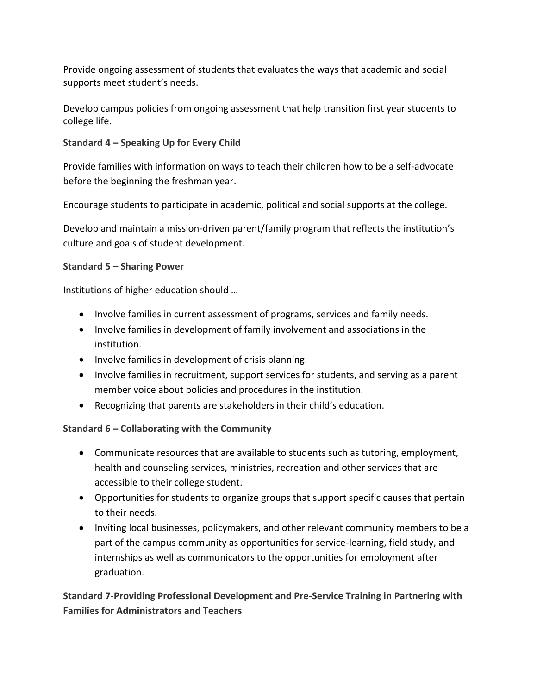Provide ongoing assessment of students that evaluates the ways that academic and social supports meet student's needs.

Develop campus policies from ongoing assessment that help transition first year students to college life.

# **Standard 4 – Speaking Up for Every Child**

Provide families with information on ways to teach their children how to be a self-advocate before the beginning the freshman year.

Encourage students to participate in academic, political and social supports at the college.

Develop and maintain a mission-driven parent/family program that reflects the institution's culture and goals of student development.

## **Standard 5 – Sharing Power**

Institutions of higher education should …

- Involve families in current assessment of programs, services and family needs.
- Involve families in development of family involvement and associations in the institution.
- Involve families in development of crisis planning.
- Involve families in recruitment, support services for students, and serving as a parent member voice about policies and procedures in the institution.
- Recognizing that parents are stakeholders in their child's education.

# **Standard 6 – Collaborating with the Community**

- Communicate resources that are available to students such as tutoring, employment, health and counseling services, ministries, recreation and other services that are accessible to their college student.
- Opportunities for students to organize groups that support specific causes that pertain to their needs.
- Inviting local businesses, policymakers, and other relevant community members to be a part of the campus community as opportunities for service-learning, field study, and internships as well as communicators to the opportunities for employment after graduation.

**Standard 7-Providing Professional Development and Pre-Service Training in Partnering with Families for Administrators and Teachers**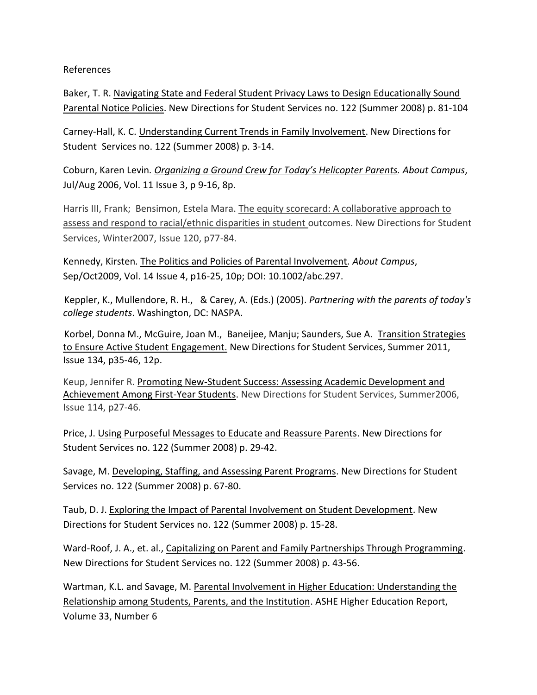References

Baker, T. R. [Navigating State and Federal Student Privacy Laws to Design Educationally Sound](javascript:%20void%200)  [Parental Notice Policies.](javascript:%20void%200) New Directions for Student Services no. 122 (Summer 2008) p. 81-104

Carney-Hall, K. C. [Understanding Current Trends in Family Involvement.](javascript:%20void%200) New Directions for Student Services no. 122 (Summer 2008) p. 3-14.

Coburn, Karen Levin*. Organizing a Ground Crew for Today's Helicopter Parents. About Campus*, Jul/Aug 2006, Vol. 11 Issue 3, p 9-16, 8p.

Harris III, Frank; Bensimon, Estela Mara. The equity scorecard: A collaborative approach to assess and respond to racial/ethnic disparities in student outcomes. New Directions for Student Services, Winter2007, Issue 120, p77-84.

Kennedy, Kirsten*.* The Politics and Policies of Parental Involvement*. About Campus*, Sep/Oct2009, Vol. 14 Issue 4, p16-25, 10p; DOI: 10.1002/abc.297.

 Keppler, K., Mullendore, R. H., & Carey, A. (Eds.) (2005). *Partnering with the parents of today's college students*. Washington, DC: NASPA.

 Korbel, Donna M., McGuire, Joan M., Baneijee, Manju; Saunders, Sue A. Transition Strategies to Ensure Active Student Engagement. New Directions for Student Services, Summer 2011, Issue 134, p35-46, 12p.

Keup, Jennifer R. Promoting New-Student Success: Assessing Academic Development and Achievement Among First-Year Students. New Directions for Student Services, Summer2006, Issue 114, p27-46.

Price, J. [Using Purposeful Messages to Educate and Reassure Parents.](javascript:%20void%200) New Directions for Student Services no. 122 (Summer 2008) p. 29-42.

Savage, M. [Developing, Staffing, and Assessing Parent Programs.](javascript:%20void%200) New Directions for Student Services no. 122 (Summer 2008) p. 67-80.

Taub, D. J. [Exploring the Impact of Parental Involvement on Student Development.](javascript:%20void%200) New Directions for Student Services no. 122 (Summer 2008) p. 15-28.

Ward-Roof, J. A., et. al., [Capitalizing on Parent and Family Partnerships Through Programming.](javascript:%20void%200) New Directions for Student Services no. 122 (Summer 2008) p. 43-56.

Wartman, K.L. and Savage, M. Parental Involvement in Higher Education: Understanding the Relationship among Students, Parents, and the Institution. ASHE Higher Education Report, Volume 33, Number 6